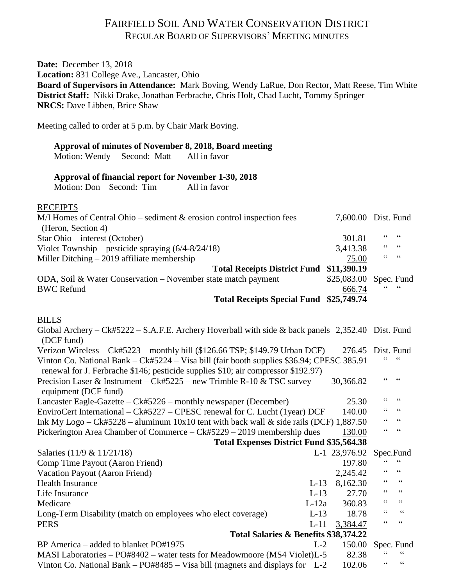# FAIRFIELD SOIL AND WATER CONSERVATION DISTRICT REGULAR BOARD OF SUPERVISORS' MEETING MINUTES

**Date:** December 13, 2018 **Location:** 831 College Ave., Lancaster, Ohio **Board of Supervisors in Attendance:** Mark Boving, Wendy LaRue, Don Rector, Matt Reese, Tim White **District Staff:** Nikki Drake, Jonathan Ferbrache, Chris Holt, Chad Lucht, Tommy Springer **NRCS:** Dave Libben, Brice Shaw

Meeting called to order at 5 p.m. by Chair Mark Boving.

## **Approval of minutes of November 8, 2018, Board meeting**

Motion: Wendy Second: Matt All in favor

#### **Approval of financial report for November 1-30, 2018**

Motion: Don Second: Tim All in favor

## **RECEIPTS**

| $M/I$ Homes of Central Ohio – sediment $\&$ erosion control inspection fees |                        | 7,600.00 Dist. Fund |
|-----------------------------------------------------------------------------|------------------------|---------------------|
| (Heron, Section 4)                                                          |                        |                     |
| Star Ohio – interest (October)                                              | 301.81                 | 6666                |
| Violet Township – pesticide spraying $(6/4-8/24/18)$                        | 3,413.38               | 66666               |
| Miller Ditching $-2019$ affiliate membership                                | 75.00                  | 66666               |
| Total Receipts District Fund \$11,390.19                                    |                        |                     |
| ODA, Soil & Water Conservation – November state match payment               | \$25,083.00 Spec. Fund |                     |
| <b>BWC Refund</b>                                                           | 666.74                 | 6666                |
| Total Receipts Special Fund \$25,749.74                                     |                        |                     |

## BILLS

| Global Archery – Ck#5222 – S.A.F.E. Archery Hoverball with side & back panels $2,352.40$ Dist. Fund<br>(DCF fund)                                                              |         |               |                                            |                          |
|--------------------------------------------------------------------------------------------------------------------------------------------------------------------------------|---------|---------------|--------------------------------------------|--------------------------|
| Verizon Wireless – Ck#5223 – monthly bill (\$126.66 TSP; \$149.79 Urban DCF)                                                                                                   |         | 276.45        |                                            | Dist. Fund               |
| Vinton Co. National Bank – Ck#5224 – Visa bill (fair booth supplies \$36.94; CPESC 385.91<br>renewal for J. Ferbrache \$146; pesticide supplies \$10; air compressor \$192.97) |         |               |                                            |                          |
| Precision Laser & Instrument – Ck#5225 – new Trimble R-10 & TSC survey<br>equipment (DCF fund)                                                                                 |         | 30,366.82     |                                            |                          |
| Lancaster Eagle-Gazette – Ck#5226 – monthly newspaper (December)                                                                                                               |         | 25.30         | 66                                         | 66                       |
| EnviroCert International – Ck#5227 – CPESC renewal for C. Lucht (1year) DCF<br>140.00                                                                                          |         |               |                                            |                          |
| Ink My Logo – Ck#5228 – aluminum $10x10$ tent with back wall & side rails (DCF) 1,887.50                                                                                       |         |               |                                            |                          |
| Pickerington Area Chamber of Commerce – Ck#5229 – 2019 membership dues                                                                                                         |         | 130.00        | 66                                         | 66                       |
| <b>Total Expenses District Fund \$35,564.38</b>                                                                                                                                |         |               |                                            |                          |
| Salaries (11/9 & 11/21/18)                                                                                                                                                     |         | L-1 23,976.92 |                                            | Spec.Fund                |
| Comp Time Payout (Aaron Friend)                                                                                                                                                |         | 197.80        |                                            | $\zeta \zeta$            |
| Vacation Payout (Aaron Friend)                                                                                                                                                 |         | 2,245.42      | $\epsilon$                                 | 66                       |
| <b>Health Insurance</b>                                                                                                                                                        | $L-13$  | 8,162.30      | $\boldsymbol{\zeta} \, \boldsymbol{\zeta}$ | $\textsf{G}\,\textsf{G}$ |
| Life Insurance                                                                                                                                                                 | $L-13$  | 27.70         | 66                                         | $\textsf{G}\,\textsf{G}$ |
| Medicare                                                                                                                                                                       | $L-12a$ | 360.83        | $\epsilon$                                 | $\zeta$ $\zeta$          |
| Long-Term Disability (match on employees who elect coverage)                                                                                                                   | $L-13$  | 18.78         | 66                                         | $\zeta \zeta$            |
| <b>PERS</b>                                                                                                                                                                    | $L-11$  | 3,384.47      | $\zeta$ $\zeta$                            | $\textsf{G}\,\textsf{G}$ |
| Total Salaries & Benefits \$38,374.22                                                                                                                                          |         |               |                                            |                          |
| BP America – added to blanket PO#1975                                                                                                                                          | $L-2$   | 150.00        |                                            | Spec. Fund               |
| MASI Laboratories – PO#8402 – water tests for Meadowmoore (MS4 Violet)L-5<br>82.38                                                                                             |         |               |                                            |                          |
| Vinton Co. National Bank – $PO#8485 - Visa bill$ (magnets and displays for L-2                                                                                                 |         | 102.06        | 66                                         | 66                       |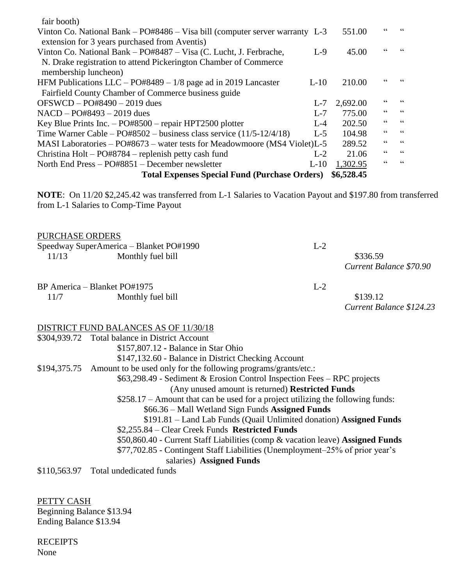| <b>Total Expenses Special Fund (Purchase Orders)</b>                             | \$6,528.45 |                                            |                          |
|----------------------------------------------------------------------------------|------------|--------------------------------------------|--------------------------|
| North End Press - PO#8851 - December newsletter<br>$L-10$                        | 1,302.95   | 66                                         | $\zeta\,\zeta$           |
| Christina Holt – PO#8784 – replenish petty cash fund<br>$L-2$                    | 21.06      | 66                                         | $\textsf{G}\,\textsf{G}$ |
| MASI Laboratories - PO#8673 - water tests for Meadowmoore (MS4 Violet)L-5        | 289.52     | $\!\!\!\zeta\,\zeta\!\!\!\zeta\!\!\!\zeta$ | $\textsf{G}\,\textsf{G}$ |
| Time Warner Cable – $PO#8502$ – business class service $(11/5-12/4/18)$<br>$L-5$ | 104.98     | 66                                         | $\textsf{G}\,\textsf{G}$ |
| Key Blue Prints Inc. $-$ PO#8500 $-$ repair HPT2500 plotter<br>$L-4$             | 202.50     | 66                                         | $\textsf{G}\,\textsf{G}$ |
| $NACD - PO#8493 - 2019$ dues<br>$L - 7$                                          | 775.00     | $\!\!\!\zeta\,\zeta\!\!\!\zeta\!\!\!\zeta$ | $\zeta\,\zeta$           |
| $OFSWCD - PO#8490 - 2019$ dues<br>$L-7$                                          | 2,692.00   | 66                                         | 66                       |
| Fairfield County Chamber of Commerce business guide                              |            |                                            |                          |
| HFM Publications $LLC - PO#8489 - 1/8$ page ad in 2019 Lancaster<br>$L-10$       | 210.00     |                                            |                          |
| membership luncheon)                                                             |            |                                            |                          |
| N. Drake registration to attend Pickerington Chamber of Commerce                 |            |                                            |                          |
| Vinton Co. National Bank – PO#8487 – Visa (C. Lucht, J. Ferbrache,<br>$L-9$      | 45.00      |                                            |                          |
| extension for 3 years purchased from Aventis)                                    |            |                                            |                          |
| Vinton Co. National Bank – PO#8486 – Visa bill (computer server warranty L-3     | 551.00     |                                            |                          |
| fair booth)                                                                      |            |                                            |                          |

**NOTE**: On 11/20 \$2,245.42 was transferred from L-1 Salaries to Vacation Payout and \$197.80 from transferred from L-1 Salaries to Comp-Time Payout

| PURCHASE ORDERS |                                                                             |       |                          |
|-----------------|-----------------------------------------------------------------------------|-------|--------------------------|
|                 | Speedway SuperAmerica - Blanket PO#1990                                     | $L-2$ |                          |
| 11/13           | Monthly fuel bill                                                           |       | \$336.59                 |
|                 |                                                                             |       | Current Balance \$70.90  |
|                 | BP America – Blanket PO#1975                                                | $L-2$ |                          |
| 11/7            | Monthly fuel bill                                                           |       | \$139.12                 |
|                 |                                                                             |       | Current Balance \$124.23 |
|                 | <b>DISTRICT FUND BALANCES AS OF 11/30/18</b>                                |       |                          |
|                 | \$304,939.72 Total balance in District Account                              |       |                          |
|                 | \$157,807.12 - Balance in Star Ohio                                         |       |                          |
|                 | \$147,132.60 - Balance in District Checking Account                         |       |                          |
|                 | \$194,375.75 Amount to be used only for the following programs/grants/etc.: |       |                          |
|                 | $$63,298.49$ - Sediment & Erosion Control Inspection Fees – RPC projects    |       |                          |
|                 | (Any unused amount is returned) Restricted Funds                            |       |                          |
|                 |                                                                             |       |                          |

\$258.17 – Amount that can be used for a project utilizing the following funds:

\$66.36 – Mall Wetland Sign Funds **Assigned Funds**

\$191.81 – Land Lab Funds (Quail Unlimited donation) **Assigned Funds**

\$2,255.84 – Clear Creek Funds **Restricted Funds**

\$50,860.40 - Current Staff Liabilities (comp & vacation leave) **Assigned Funds**

\$77,702.85 - Contingent Staff Liabilities (Unemployment–25% of prior year's salaries) **Assigned Funds**

\$110,563.97 Total undedicated funds

PETTY CASH Beginning Balance \$13.94 Ending Balance \$13.94

**RECEIPTS** None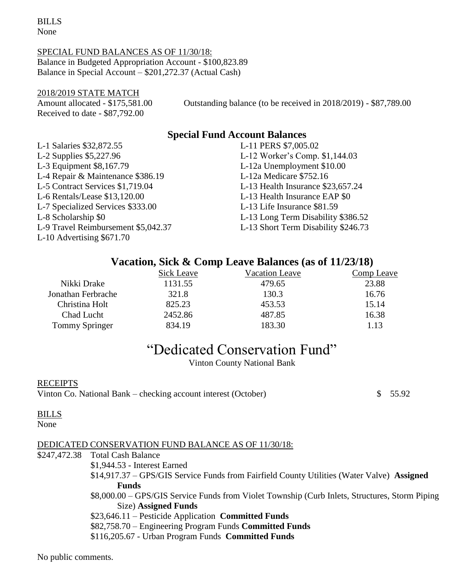BILLS None

#### SPECIAL FUND BALANCES AS OF 11/30/18: Balance in Budgeted Appropriation Account - \$100,823.89

Balance in Special Account – \$201,272.37 (Actual Cash)

## 2018/2019 STATE MATCH

Received to date - \$87,792.00

Amount allocated - \$175,581.00 Outstanding balance (to be received in 2018/2019) - \$87,789.00

## **Special Fund Account Balances**

| L-1 Salaries \$32,872.55            | L-11 PERS \$7,005.02                |
|-------------------------------------|-------------------------------------|
| L-2 Supplies \$5,227.96             | L-12 Worker's Comp. \$1,144.03      |
| L-3 Equipment \$8,167.79            | L-12a Unemployment \$10.00          |
| L-4 Repair & Maintenance \$386.19   | L-12a Medicare \$752.16             |
| L-5 Contract Services \$1,719.04    | L-13 Health Insurance \$23,657.24   |
| L-6 Rentals/Lease \$13,120.00       | L-13 Health Insurance EAP \$0       |
| L-7 Specialized Services \$333.00   | L-13 Life Insurance \$81.59         |
| L-8 Scholarship \$0                 | L-13 Long Term Disability \$386.52  |
| L-9 Travel Reimbursement \$5,042.37 | L-13 Short Term Disability \$246.73 |
| L-10 Advertising \$671.70           |                                     |

## **Vacation, Sick & Comp Leave Balances (as of 11/23/18)**

|                       | <b>Sick Leave</b> | Vacation Leave | Comp Leave |
|-----------------------|-------------------|----------------|------------|
| Nikki Drake           | 1131.55           | 479.65         | 23.88      |
| Jonathan Ferbrache    | 321.8             | 130.3          | 16.76      |
| Christina Holt        | 825.23            | 453.53         | 15.14      |
| Chad Lucht            | 2452.86           | 487.85         | 16.38      |
| <b>Tommy Springer</b> | 834.19            | 183.30         | 1.13       |

# "Dedicated Conservation Fund"

Vinton County National Bank

## RECEIPTS

Vinton Co. National Bank – checking account interest (October) \$ 55.92

## BILLS

None

## DEDICATED CONSERVATION FUND BALANCE AS OF 11/30/18:

\$247,472.38 Total Cash Balance

\$1,944.53 - Interest Earned

\$14,917.37 – GPS/GIS Service Funds from Fairfield County Utilities (Water Valve) **Assigned Funds**

\$8,000.00 – GPS/GIS Service Funds from Violet Township (Curb Inlets, Structures, Storm Piping Size) **Assigned Funds**

\$23,646.11 – Pesticide Application **Committed Funds**

\$82,758.70 – Engineering Program Funds **Committed Funds**

\$116,205.67 - Urban Program Funds **Committed Funds**

No public comments.